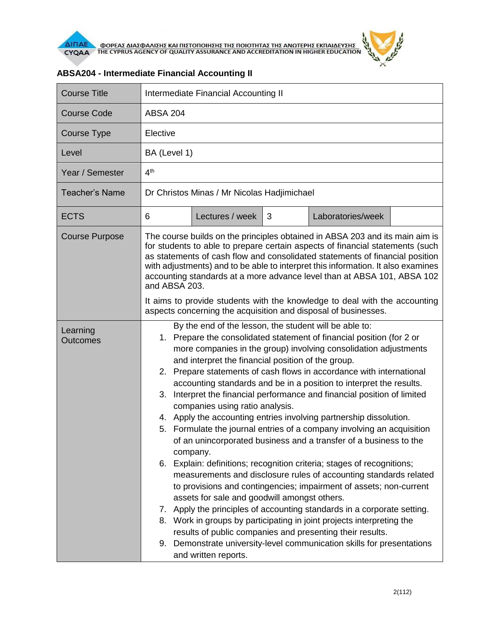

| <b>Course Title</b>         | Intermediate Financial Accounting II                                                                                                                                                                                                                                                                                                                                                                                          |                                              |   |                                                                                                                                                                                                                   |  |
|-----------------------------|-------------------------------------------------------------------------------------------------------------------------------------------------------------------------------------------------------------------------------------------------------------------------------------------------------------------------------------------------------------------------------------------------------------------------------|----------------------------------------------|---|-------------------------------------------------------------------------------------------------------------------------------------------------------------------------------------------------------------------|--|
| <b>Course Code</b>          | <b>ABSA 204</b>                                                                                                                                                                                                                                                                                                                                                                                                               |                                              |   |                                                                                                                                                                                                                   |  |
| Course Type                 | Elective                                                                                                                                                                                                                                                                                                                                                                                                                      |                                              |   |                                                                                                                                                                                                                   |  |
| Level                       | BA (Level 1)                                                                                                                                                                                                                                                                                                                                                                                                                  |                                              |   |                                                                                                                                                                                                                   |  |
| Year / Semester             | 4 <sup>th</sup>                                                                                                                                                                                                                                                                                                                                                                                                               |                                              |   |                                                                                                                                                                                                                   |  |
| <b>Teacher's Name</b>       | Dr Christos Minas / Mr Nicolas Hadjimichael                                                                                                                                                                                                                                                                                                                                                                                   |                                              |   |                                                                                                                                                                                                                   |  |
| <b>ECTS</b>                 | 6                                                                                                                                                                                                                                                                                                                                                                                                                             | Lectures / week                              | 3 | Laboratories/week                                                                                                                                                                                                 |  |
| <b>Course Purpose</b>       | The course builds on the principles obtained in ABSA 203 and its main aim is<br>for students to able to prepare certain aspects of financial statements (such<br>as statements of cash flow and consolidated statements of financial position<br>with adjustments) and to be able to interpret this information. It also examines<br>accounting standards at a more advance level than at ABSA 101, ABSA 102<br>and ABSA 203. |                                              |   |                                                                                                                                                                                                                   |  |
|                             |                                                                                                                                                                                                                                                                                                                                                                                                                               |                                              |   | It aims to provide students with the knowledge to deal with the accounting<br>aspects concerning the acquisition and disposal of businesses.                                                                      |  |
| Learning<br><b>Outcomes</b> | By the end of the lesson, the student will be able to:<br>Prepare the consolidated statement of financial position (for 2 or<br>1.<br>more companies in the group) involving consolidation adjustments<br>and interpret the financial position of the group.                                                                                                                                                                  |                                              |   |                                                                                                                                                                                                                   |  |
|                             | Prepare statements of cash flows in accordance with international<br>2.<br>accounting standards and be in a position to interpret the results.<br>Interpret the financial performance and financial position of limited<br>3.<br>companies using ratio analysis.<br>4. Apply the accounting entries involving partnership dissolution.                                                                                        |                                              |   |                                                                                                                                                                                                                   |  |
|                             |                                                                                                                                                                                                                                                                                                                                                                                                                               | company.                                     |   | 5. Formulate the journal entries of a company involving an acquisition<br>of an unincorporated business and a transfer of a business to the                                                                       |  |
|                             |                                                                                                                                                                                                                                                                                                                                                                                                                               | assets for sale and goodwill amongst others. |   | 6. Explain: definitions; recognition criteria; stages of recognitions;<br>measurements and disclosure rules of accounting standards related<br>to provisions and contingencies; impairment of assets; non-current |  |
|                             |                                                                                                                                                                                                                                                                                                                                                                                                                               |                                              |   | 7. Apply the principles of accounting standards in a corporate setting.<br>8. Work in groups by participating in joint projects interpreting the<br>results of public companies and presenting their results.     |  |
|                             |                                                                                                                                                                                                                                                                                                                                                                                                                               | and written reports.                         |   | 9. Demonstrate university-level communication skills for presentations                                                                                                                                            |  |

## **ABSA204 - Intermediate Financial Accounting II**

 $\tilde{r}$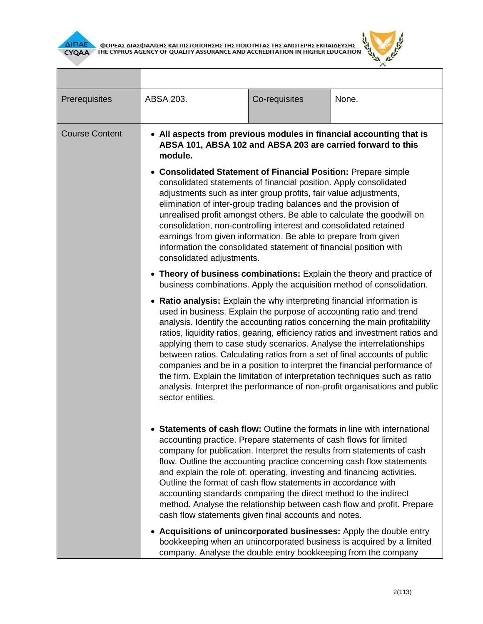



٦

| Prerequisites         | ABSA 203.                                                                                                                                                                                                                                                                                                                                                                                                                                                                                                                                                                                                                                                                                                                                                                                                                                                                         | Co-requisites | None.                                                                                                                                       |  |
|-----------------------|-----------------------------------------------------------------------------------------------------------------------------------------------------------------------------------------------------------------------------------------------------------------------------------------------------------------------------------------------------------------------------------------------------------------------------------------------------------------------------------------------------------------------------------------------------------------------------------------------------------------------------------------------------------------------------------------------------------------------------------------------------------------------------------------------------------------------------------------------------------------------------------|---------------|---------------------------------------------------------------------------------------------------------------------------------------------|--|
| <b>Course Content</b> | • All aspects from previous modules in financial accounting that is<br>ABSA 101, ABSA 102 and ABSA 203 are carried forward to this<br>module.<br>• Consolidated Statement of Financial Position: Prepare simple<br>consolidated statements of financial position. Apply consolidated<br>adjustments such as inter group profits, fair value adjustments,<br>elimination of inter-group trading balances and the provision of<br>unrealised profit amongst others. Be able to calculate the goodwill on<br>consolidation, non-controlling interest and consolidated retained<br>earnings from given information. Be able to prepare from given<br>information the consolidated statement of financial position with<br>consolidated adjustments.                                                                                                                                   |               |                                                                                                                                             |  |
|                       | • Theory of business combinations: Explain the theory and practice of<br>business combinations. Apply the acquisition method of consolidation.<br>Ratio analysis: Explain the why interpreting financial information is<br>used in business. Explain the purpose of accounting ratio and trend<br>analysis. Identify the accounting ratios concerning the main profitability<br>ratios, liquidity ratios, gearing, efficiency ratios and investment ratios and<br>applying them to case study scenarios. Analyse the interrelationships<br>between ratios. Calculating ratios from a set of final accounts of public<br>companies and be in a position to interpret the financial performance of<br>the firm. Explain the limitation of interpretation techniques such as ratio<br>analysis. Interpret the performance of non-profit organisations and public<br>sector entities. |               |                                                                                                                                             |  |
|                       | <b>Statements of cash flow:</b> Outline the formats in line with international<br>accounting practice. Prepare statements of cash flows for limited<br>company for publication. Interpret the results from statements of cash<br>flow. Outline the accounting practice concerning cash flow statements<br>and explain the role of: operating, investing and financing activities.<br>Outline the format of cash flow statements in accordance with<br>accounting standards comparing the direct method to the indirect<br>method. Analyse the relationship between cash flow and profit. Prepare<br>cash flow statements given final accounts and notes.                                                                                                                                                                                                                          |               |                                                                                                                                             |  |
|                       | company. Analyse the double entry bookkeeping from the company                                                                                                                                                                                                                                                                                                                                                                                                                                                                                                                                                                                                                                                                                                                                                                                                                    |               | • Acquisitions of unincorporated businesses: Apply the double entry<br>bookkeeping when an unincorporated business is acquired by a limited |  |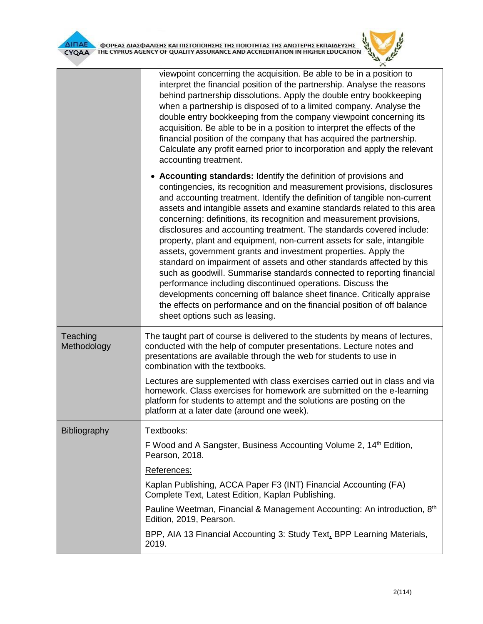| —<br>I |  |  |
|--------|--|--|
|        |  |  |

┓

|                         | viewpoint concerning the acquisition. Be able to be in a position to<br>interpret the financial position of the partnership. Analyse the reasons<br>behind partnership dissolutions. Apply the double entry bookkeeping<br>when a partnership is disposed of to a limited company. Analyse the<br>double entry bookkeeping from the company viewpoint concerning its<br>acquisition. Be able to be in a position to interpret the effects of the<br>financial position of the company that has acquired the partnership.<br>Calculate any profit earned prior to incorporation and apply the relevant<br>accounting treatment.                                                                                                                                                                                                                                                                                                                                                                          |
|-------------------------|---------------------------------------------------------------------------------------------------------------------------------------------------------------------------------------------------------------------------------------------------------------------------------------------------------------------------------------------------------------------------------------------------------------------------------------------------------------------------------------------------------------------------------------------------------------------------------------------------------------------------------------------------------------------------------------------------------------------------------------------------------------------------------------------------------------------------------------------------------------------------------------------------------------------------------------------------------------------------------------------------------|
|                         | • Accounting standards: Identify the definition of provisions and<br>contingencies, its recognition and measurement provisions, disclosures<br>and accounting treatment. Identify the definition of tangible non-current<br>assets and intangible assets and examine standards related to this area<br>concerning: definitions, its recognition and measurement provisions,<br>disclosures and accounting treatment. The standards covered include:<br>property, plant and equipment, non-current assets for sale, intangible<br>assets, government grants and investment properties. Apply the<br>standard on impairment of assets and other standards affected by this<br>such as goodwill. Summarise standards connected to reporting financial<br>performance including discontinued operations. Discuss the<br>developments concerning off balance sheet finance. Critically appraise<br>the effects on performance and on the financial position of off balance<br>sheet options such as leasing. |
| Teaching<br>Methodology | The taught part of course is delivered to the students by means of lectures,<br>conducted with the help of computer presentations. Lecture notes and<br>presentations are available through the web for students to use in<br>combination with the textbooks.                                                                                                                                                                                                                                                                                                                                                                                                                                                                                                                                                                                                                                                                                                                                           |
|                         | Lectures are supplemented with class exercises carried out in class and via<br>homework. Class exercises for homework are submitted on the e-learning<br>platform for students to attempt and the solutions are posting on the<br>platform at a later date (around one week).                                                                                                                                                                                                                                                                                                                                                                                                                                                                                                                                                                                                                                                                                                                           |
| <b>Bibliography</b>     | Textbooks:                                                                                                                                                                                                                                                                                                                                                                                                                                                                                                                                                                                                                                                                                                                                                                                                                                                                                                                                                                                              |
|                         | F Wood and A Sangster, Business Accounting Volume 2, 14 <sup>th</sup> Edition,<br>Pearson, 2018.                                                                                                                                                                                                                                                                                                                                                                                                                                                                                                                                                                                                                                                                                                                                                                                                                                                                                                        |
|                         | References:                                                                                                                                                                                                                                                                                                                                                                                                                                                                                                                                                                                                                                                                                                                                                                                                                                                                                                                                                                                             |
|                         | Kaplan Publishing, ACCA Paper F3 (INT) Financial Accounting (FA)<br>Complete Text, Latest Edition, Kaplan Publishing.                                                                                                                                                                                                                                                                                                                                                                                                                                                                                                                                                                                                                                                                                                                                                                                                                                                                                   |
|                         | Pauline Weetman, Financial & Management Accounting: An introduction, 8th<br>Edition, 2019, Pearson.                                                                                                                                                                                                                                                                                                                                                                                                                                                                                                                                                                                                                                                                                                                                                                                                                                                                                                     |
|                         | BPP, AIA 13 Financial Accounting 3: Study Text, BPP Learning Materials,<br>2019.                                                                                                                                                                                                                                                                                                                                                                                                                                                                                                                                                                                                                                                                                                                                                                                                                                                                                                                        |